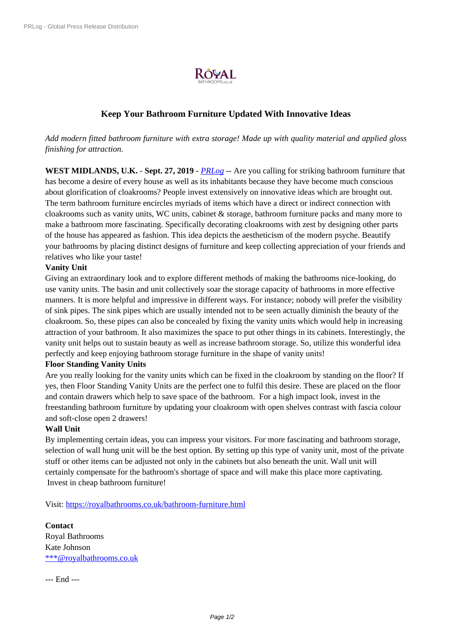

## **Keep Your Bathroom F[urniture Up](https://biz.prlog.org/royalbathrooms/)dated With Innovative Ideas**

*Add modern fitted bathroom furniture with extra storage! Made up with quality material and applied gloss finishing for attraction.*

**WEST MIDLANDS, U.K.** - **Sept. 27, 2019** - *PRLog* -- Are you calling for striking bathroom furniture that has become a desire of every house as well as its inhabitants because they have become much conscious about glorification of cloakrooms? People invest extensively on innovative ideas which are brought out. The term bathroom furniture encircles myriads of items which have a direct or indirect connection with cloakrooms such as vanity units, WC units, ca[binet &](https://www.prlog.org) storage, bathroom furniture packs and many more to make a bathroom more fascinating. Specifically decorating cloakrooms with zest by designing other parts of the house has appeared as fashion. This idea depicts the aestheticism of the modern psyche. Beautify your bathrooms by placing distinct designs of furniture and keep collecting appreciation of your friends and relatives who like your taste!

## **Vanity Unit**

Giving an extraordinary look and to explore different methods of making the bathrooms nice-looking, do use vanity units. The basin and unit collectively soar the storage capacity of bathrooms in more effective manners. It is more helpful and impressive in different ways. For instance; nobody will prefer the visibility of sink pipes. The sink pipes which are usually intended not to be seen actually diminish the beauty of the cloakroom. So, these pipes can also be concealed by fixing the vanity units which would help in increasing attraction of your bathroom. It also maximizes the space to put other things in its cabinets. Interestingly, the vanity unit helps out to sustain beauty as well as increase bathroom storage. So, utilize this wonderful idea perfectly and keep enjoying bathroom storage furniture in the shape of vanity units!

## **Floor Standing Vanity Units**

Are you really looking for the vanity units which can be fixed in the cloakroom by standing on the floor? If yes, then Floor Standing Vanity Units are the perfect one to fulfil this desire. These are placed on the floor and contain drawers which help to save space of the bathroom. For a high impact look, invest in the freestanding bathroom furniture by updating your cloakroom with open shelves contrast with fascia colour and soft-close open 2 drawers!

## **Wall Unit**

By implementing certain ideas, you can impress your visitors. For more fascinating and bathroom storage, selection of wall hung unit will be the best option. By setting up this type of vanity unit, most of the private stuff or other items can be adjusted not only in the cabinets but also beneath the unit. Wall unit will certainly compensate for the bathroom's shortage of space and will make this place more captivating. Invest in cheap bathroom furniture!

Visit: https://royalbathrooms.co.uk/bathroom-furniture.html

**Contact** Royal [Bathrooms](https://royalbathrooms.co.uk/bathroom-furniture.html) Kate Johnson \*\*\*@royalbathrooms.co.uk

--- End ---